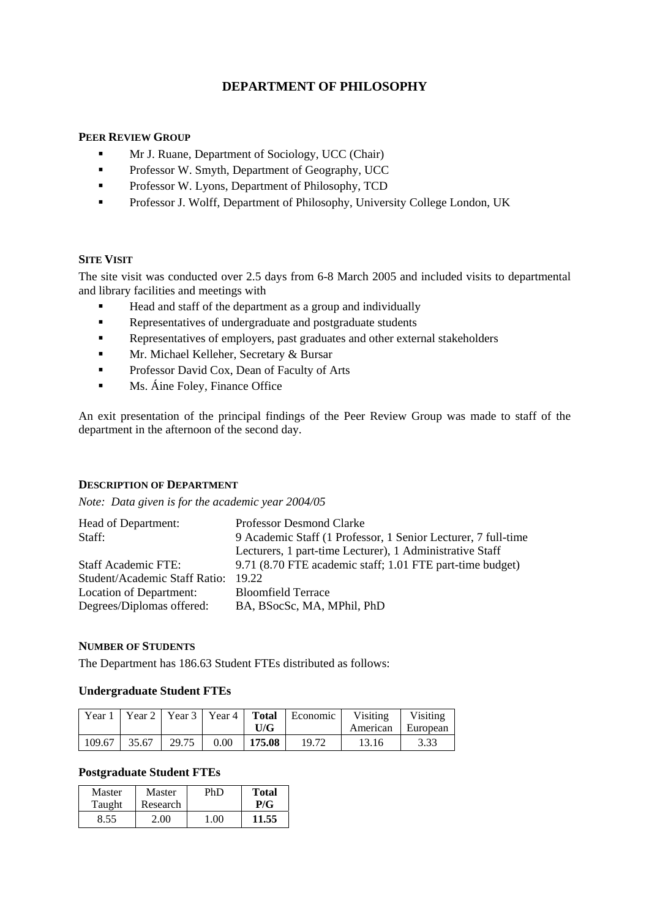# **DEPARTMENT OF PHILOSOPHY**

# **PEER REVIEW GROUP**

- **Mr J. Ruane, Department of Sociology, UCC (Chair)**
- **Professor W. Smyth, Department of Geography, UCC**
- **Professor W. Lyons, Department of Philosophy, TCD**
- **Professor J. Wolff, Department of Philosophy, University College London, UK**

# **SITE VISIT**

The site visit was conducted over 2.5 days from 6-8 March 2005 and included visits to departmental and library facilities and meetings with

- Head and staff of the department as a group and individually
- Representatives of undergraduate and postgraduate students
- Representatives of employers, past graduates and other external stakeholders
- **Mr. Michael Kelleher, Secretary & Bursar**
- **Professor David Cox, Dean of Faculty of Arts**
- **Ms.** Áine Foley, Finance Office

An exit presentation of the principal findings of the Peer Review Group was made to staff of the department in the afternoon of the second day.

# **DESCRIPTION OF DEPARTMENT**

*Note: Data given is for the academic year 2004/05* 

| Head of Department:                 | <b>Professor Desmond Clarke</b>                               |  |
|-------------------------------------|---------------------------------------------------------------|--|
| Staff:                              | 9 Academic Staff (1 Professor, 1 Senior Lecturer, 7 full-time |  |
|                                     | Lecturers, 1 part-time Lecturer), 1 Administrative Staff      |  |
| <b>Staff Academic FTE:</b>          | 9.71 (8.70 FTE academic staff; 1.01 FTE part-time budget)     |  |
| Student/Academic Staff Ratio: 19.22 |                                                               |  |
| Location of Department:             | <b>Bloomfield Terrace</b>                                     |  |
| Degrees/Diplomas offered:           | BA, BSocSc, MA, MPhil, PhD                                    |  |

#### **NUMBER OF STUDENTS**

The Department has 186.63 Student FTEs distributed as follows:

# **Undergraduate Student FTEs**

|        | Year 1   Year 2   Year 3   Year 4   Total |       |      |        | Economic | Visiting          | Visiting |
|--------|-------------------------------------------|-------|------|--------|----------|-------------------|----------|
|        |                                           |       |      | U/G    |          | American European |          |
| 109.67 | 35.67                                     | 29.75 | 0.00 | 175.08 | 19.72    | 13.16             | 3.33     |

# **Postgraduate Student FTEs**

| Master | Master   | PhD  | <b>Total</b> |
|--------|----------|------|--------------|
| Taught | Research |      | P/G          |
| 8.55   | ን በበ     | 1.00 | 11.55        |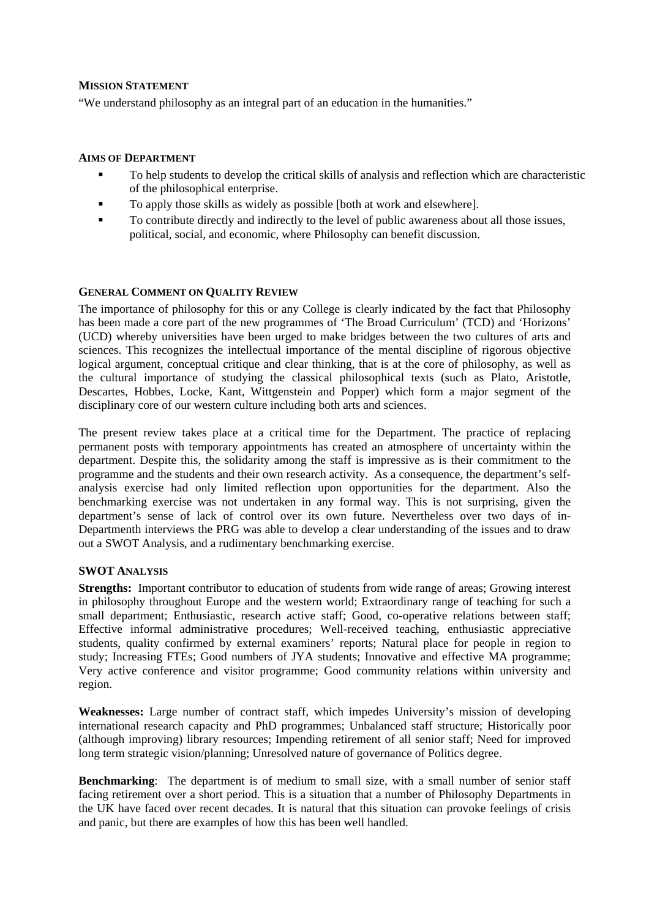#### **MISSION STATEMENT**

"We understand philosophy as an integral part of an education in the humanities."

# **AIMS OF DEPARTMENT**

- To help students to develop the critical skills of analysis and reflection which are characteristic of the philosophical enterprise.
- To apply those skills as widely as possible [both at work and elsewhere].
- To contribute directly and indirectly to the level of public awareness about all those issues, political, social, and economic, where Philosophy can benefit discussion.

# **GENERAL COMMENT ON QUALITY REVIEW**

The importance of philosophy for this or any College is clearly indicated by the fact that Philosophy has been made a core part of the new programmes of 'The Broad Curriculum' (TCD) and 'Horizons' (UCD) whereby universities have been urged to make bridges between the two cultures of arts and sciences. This recognizes the intellectual importance of the mental discipline of rigorous objective logical argument, conceptual critique and clear thinking, that is at the core of philosophy, as well as the cultural importance of studying the classical philosophical texts (such as Plato, Aristotle, Descartes, Hobbes, Locke, Kant, Wittgenstein and Popper) which form a major segment of the disciplinary core of our western culture including both arts and sciences.

The present review takes place at a critical time for the Department. The practice of replacing permanent posts with temporary appointments has created an atmosphere of uncertainty within the department. Despite this, the solidarity among the staff is impressive as is their commitment to the programme and the students and their own research activity. As a consequence, the department's selfanalysis exercise had only limited reflection upon opportunities for the department. Also the benchmarking exercise was not undertaken in any formal way. This is not surprising, given the department's sense of lack of control over its own future. Nevertheless over two days of in-Departmenth interviews the PRG was able to develop a clear understanding of the issues and to draw out a SWOT Analysis, and a rudimentary benchmarking exercise.

# **SWOT ANALYSIS**

**Strengths:** Important contributor to education of students from wide range of areas; Growing interest in philosophy throughout Europe and the western world; Extraordinary range of teaching for such a small department; Enthusiastic, research active staff; Good, co-operative relations between staff; Effective informal administrative procedures; Well-received teaching, enthusiastic appreciative students, quality confirmed by external examiners' reports; Natural place for people in region to study; Increasing FTEs; Good numbers of JYA students; Innovative and effective MA programme; Very active conference and visitor programme; Good community relations within university and region.

**Weaknesses:** Large number of contract staff, which impedes University's mission of developing international research capacity and PhD programmes; Unbalanced staff structure; Historically poor (although improving) library resources; Impending retirement of all senior staff; Need for improved long term strategic vision/planning; Unresolved nature of governance of Politics degree.

**Benchmarking**: The department is of medium to small size, with a small number of senior staff facing retirement over a short period. This is a situation that a number of Philosophy Departments in the UK have faced over recent decades. It is natural that this situation can provoke feelings of crisis and panic, but there are examples of how this has been well handled.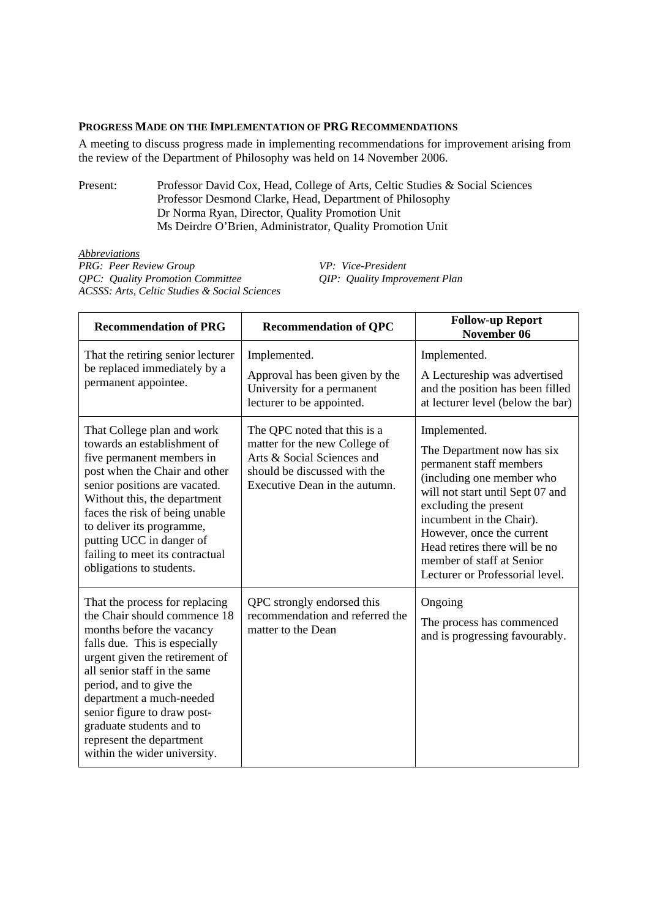# **PROGRESS MADE ON THE IMPLEMENTATION OF PRG RECOMMENDATIONS**

A meeting to discuss progress made in implementing recommendations for improvement arising from the review of the Department of Philosophy was held on 14 November 2006.

Present: Professor David Cox, Head, College of Arts, Celtic Studies & Social Sciences Professor Desmond Clarke, Head, Department of Philosophy Dr Norma Ryan, Director, Quality Promotion Unit Ms Deirdre O'Brien, Administrator, Quality Promotion Unit

*Abbreviations PRG: Peer Review Group VP: Vice-President QPC: Quality Promotion Committee QIP: Quality Improvement Plan ACSSS: Arts, Celtic Studies & Social Sciences* 

| <b>Recommendation of PRG</b>                                                                                                                                                                                                                                                                                                                                                 | <b>Recommendation of QPC</b>                                                                                                                                 | <b>Follow-up Report</b><br>November 06                                                                                                                                                                                                                                                                                    |
|------------------------------------------------------------------------------------------------------------------------------------------------------------------------------------------------------------------------------------------------------------------------------------------------------------------------------------------------------------------------------|--------------------------------------------------------------------------------------------------------------------------------------------------------------|---------------------------------------------------------------------------------------------------------------------------------------------------------------------------------------------------------------------------------------------------------------------------------------------------------------------------|
| That the retiring senior lecturer<br>be replaced immediately by a<br>permanent appointee.                                                                                                                                                                                                                                                                                    | Implemented.<br>Approval has been given by the<br>University for a permanent<br>lecturer to be appointed.                                                    | Implemented.<br>A Lectureship was advertised<br>and the position has been filled<br>at lecturer level (below the bar)                                                                                                                                                                                                     |
| That College plan and work<br>towards an establishment of<br>five permanent members in<br>post when the Chair and other<br>senior positions are vacated.<br>Without this, the department<br>faces the risk of being unable<br>to deliver its programme,<br>putting UCC in danger of<br>failing to meet its contractual<br>obligations to students.                           | The QPC noted that this is a<br>matter for the new College of<br>Arts & Social Sciences and<br>should be discussed with the<br>Executive Dean in the autumn. | Implemented.<br>The Department now has six<br>permanent staff members<br>(including one member who<br>will not start until Sept 07 and<br>excluding the present<br>incumbent in the Chair).<br>However, once the current<br>Head retires there will be no<br>member of staff at Senior<br>Lecturer or Professorial level. |
| That the process for replacing<br>the Chair should commence 18<br>months before the vacancy<br>falls due. This is especially<br>urgent given the retirement of<br>all senior staff in the same<br>period, and to give the<br>department a much-needed<br>senior figure to draw post-<br>graduate students and to<br>represent the department<br>within the wider university. | QPC strongly endorsed this<br>recommendation and referred the<br>matter to the Dean                                                                          | Ongoing<br>The process has commenced<br>and is progressing favourably.                                                                                                                                                                                                                                                    |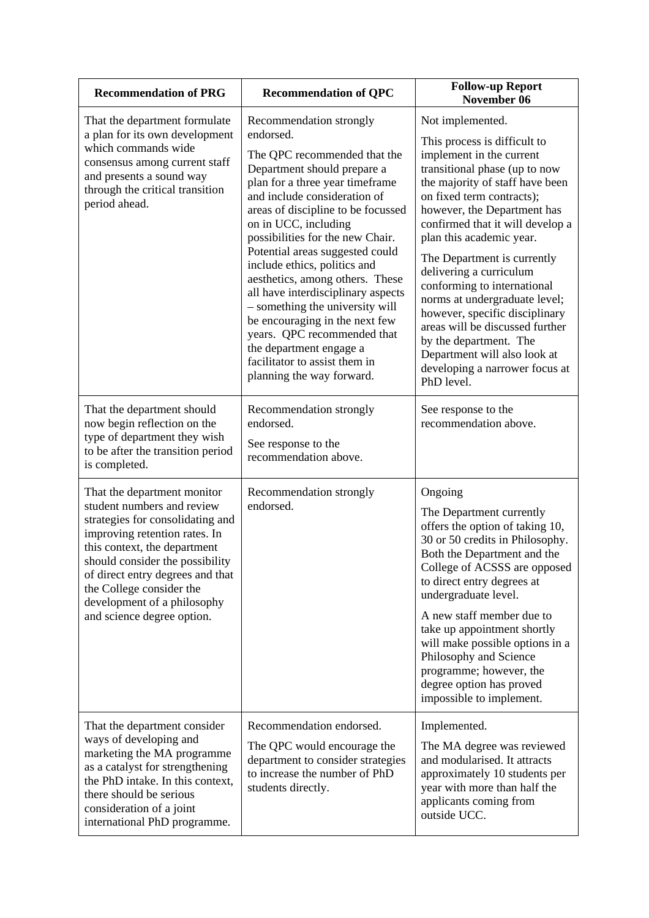| <b>Recommendation of PRG</b>                                                                                                                                                                                                                                                                                                   | <b>Recommendation of QPC</b>                                                                                                                                                                                                                                                                                                                                                                                                                                                                                                                                                                                      | <b>Follow-up Report</b><br>November 06                                                                                                                                                                                                                                                                                                                                                                                                                                                                                                                                                |
|--------------------------------------------------------------------------------------------------------------------------------------------------------------------------------------------------------------------------------------------------------------------------------------------------------------------------------|-------------------------------------------------------------------------------------------------------------------------------------------------------------------------------------------------------------------------------------------------------------------------------------------------------------------------------------------------------------------------------------------------------------------------------------------------------------------------------------------------------------------------------------------------------------------------------------------------------------------|---------------------------------------------------------------------------------------------------------------------------------------------------------------------------------------------------------------------------------------------------------------------------------------------------------------------------------------------------------------------------------------------------------------------------------------------------------------------------------------------------------------------------------------------------------------------------------------|
| That the department formulate<br>a plan for its own development<br>which commands wide<br>consensus among current staff<br>and presents a sound way<br>through the critical transition<br>period ahead.                                                                                                                        | Recommendation strongly<br>endorsed.<br>The QPC recommended that the<br>Department should prepare a<br>plan for a three year timeframe<br>and include consideration of<br>areas of discipline to be focussed<br>on in UCC, including<br>possibilities for the new Chair.<br>Potential areas suggested could<br>include ethics, politics and<br>aesthetics, among others. These<br>all have interdisciplinary aspects<br>- something the university will<br>be encouraging in the next few<br>years. QPC recommended that<br>the department engage a<br>facilitator to assist them in<br>planning the way forward. | Not implemented.<br>This process is difficult to<br>implement in the current<br>transitional phase (up to now<br>the majority of staff have been<br>on fixed term contracts);<br>however, the Department has<br>confirmed that it will develop a<br>plan this academic year.<br>The Department is currently<br>delivering a curriculum<br>conforming to international<br>norms at undergraduate level;<br>however, specific disciplinary<br>areas will be discussed further<br>by the department. The<br>Department will also look at<br>developing a narrower focus at<br>PhD level. |
| That the department should<br>now begin reflection on the<br>type of department they wish<br>to be after the transition period<br>is completed.                                                                                                                                                                                | Recommendation strongly<br>endorsed.<br>See response to the<br>recommendation above.                                                                                                                                                                                                                                                                                                                                                                                                                                                                                                                              | See response to the<br>recommendation above.                                                                                                                                                                                                                                                                                                                                                                                                                                                                                                                                          |
| That the department monitor<br>student numbers and review<br>strategies for consolidating and<br>improving retention rates. In<br>this context, the department<br>should consider the possibility<br>of direct entry degrees and that<br>the College consider the<br>development of a philosophy<br>and science degree option. | Recommendation strongly<br>endorsed.                                                                                                                                                                                                                                                                                                                                                                                                                                                                                                                                                                              | Ongoing<br>The Department currently<br>offers the option of taking 10,<br>30 or 50 credits in Philosophy.<br>Both the Department and the<br>College of ACSSS are opposed<br>to direct entry degrees at<br>undergraduate level.<br>A new staff member due to<br>take up appointment shortly<br>will make possible options in a<br>Philosophy and Science<br>programme; however, the<br>degree option has proved<br>impossible to implement.                                                                                                                                            |
| That the department consider<br>ways of developing and<br>marketing the MA programme<br>as a catalyst for strengthening<br>the PhD intake. In this context,<br>there should be serious<br>consideration of a joint<br>international PhD programme.                                                                             | Recommendation endorsed.<br>The QPC would encourage the<br>department to consider strategies<br>to increase the number of PhD<br>students directly.                                                                                                                                                                                                                                                                                                                                                                                                                                                               | Implemented.<br>The MA degree was reviewed<br>and modularised. It attracts<br>approximately 10 students per<br>year with more than half the<br>applicants coming from<br>outside UCC.                                                                                                                                                                                                                                                                                                                                                                                                 |